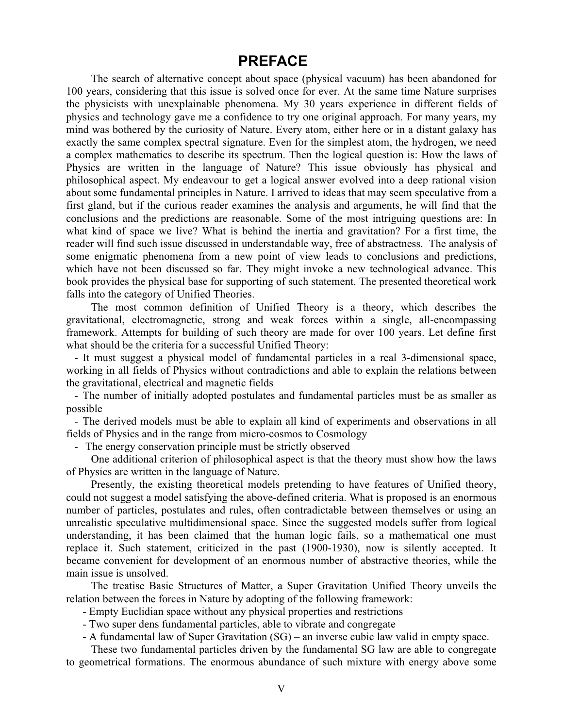## PREFACE

The search of alternative concept about space (physical vacuum) has been abandoned for 100 years, considering that this issue is solved once for ever. At the same time Nature surprises the physicists with unexplainable phenomena. My 30 years experience in different fields of physics and technology gave me a confidence to try one original approach. For many years, my mind was bothered by the curiosity of Nature. Every atom, either here or in a distant galaxy has exactly the same complex spectral signature. Even for the simplest atom, the hydrogen, we need a complex mathematics to describe its spectrum. Then the logical question is: How the laws of Physics are written in the language of Nature? This issue obviously has physical and philosophical aspect. My endeavour to get a logical answer evolved into a deep rational vision about some fundamental principles in Nature. I arrived to ideas that may seem speculative from a first gland, but if the curious reader examines the analysis and arguments, he will find that the conclusions and the predictions are reasonable. Some of the most intriguing questions are: In what kind of space we live? What is behind the inertia and gravitation? For a first time, the reader will find such issue discussed in understandable way, free of abstractness. The analysis of some enigmatic phenomena from a new point of view leads to conclusions and predictions, which have not been discussed so far. They might invoke a new technological advance. This book provides the physical base for supporting of such statement. The presented theoretical work falls into the category of Unified Theories.

The most common definition of Unified Theory is a theory, which describes the gravitational, electromagnetic, strong and weak forces within a single, all-encompassing framework. Attempts for building of such theory are made for over 100 years. Let define first what should be the criteria for a successful Unified Theory:

- It must suggest a physical model of fundamental particles in a real 3-dimensional space, working in all fields of Physics without contradictions and able to explain the relations between the gravitational, electrical and magnetic fields

- The number of initially adopted postulates and fundamental particles must be as smaller as possible

- The derived models must be able to explain all kind of experiments and observations in all fields of Physics and in the range from micro-cosmos to Cosmology

- The energy conservation principle must be strictly observed

One additional criterion of philosophical aspect is that the theory must show how the laws of Physics are written in the language of Nature.

Presently, the existing theoretical models pretending to have features of Unified theory, could not suggest a model satisfying the above-defined criteria. What is proposed is an enormous number of particles, postulates and rules, often contradictable between themselves or using an unrealistic speculative multidimensional space. Since the suggested models suffer from logical understanding, it has been claimed that the human logic fails, so a mathematical one must replace it. Such statement, criticized in the past (1900-1930), now is silently accepted. It became convenient for development of an enormous number of abstractive theories, while the main issue is unsolved.

The treatise Basic Structures of Matter, a Super Gravitation Unified Theory unveils the relation between the forces in Nature by adopting of the following framework:

- Empty Euclidian space without any physical properties and restrictions

- Two super dens fundamental particles, able to vibrate and congregate
- A fundamental law of Super Gravitation (SG) an inverse cubic law valid in empty space.

These two fundamental particles driven by the fundamental SG law are able to congregate to geometrical formations. The enormous abundance of such mixture with energy above some